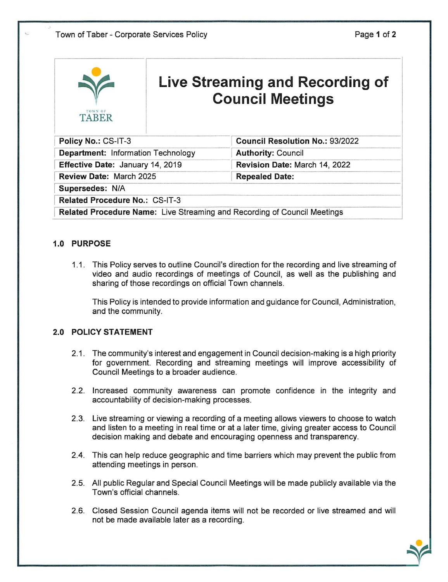| TOWN OF<br><b>TABER</b>                                                         | Live Streaming and Recording of<br><b>Council Meetings</b> |                                        |
|---------------------------------------------------------------------------------|------------------------------------------------------------|----------------------------------------|
| Policy No.: CS-IT-3                                                             |                                                            | <b>Council Resolution No.: 93/2022</b> |
| <b>Department: Information Technology</b>                                       |                                                            | <b>Authority: Council</b>              |
| Effective Date: January 14, 2019                                                |                                                            | Revision Date: March 14, 2022          |
| Review Date: March 2025                                                         |                                                            | <b>Repealed Date:</b>                  |
| Supersedes: N/A                                                                 |                                                            |                                        |
| Related Procedure No.: CS-IT-3                                                  |                                                            |                                        |
| <b>Related Procedure Name:</b> Live Streaming and Recording of Council Meetings |                                                            |                                        |

## 1.0 PURPOSE

1.1. This Policy serves to outline Council's direction for the recording and live streaming of video and audio recordings of meetings of Council, as well as the publishing and sharing of those recordings on official Town channels.

This Policy is intended to provide information and guidance for Council, Administration, and the community.

## 2.0 POLICY STATEMENT

- 2.1. The community's interest and engagement in Council decision-making is a high priority for government. Recording and streaming meetings will improve accessibility of Council Meetings to a broader audience.
- 2.2. Increased community awareness can promote confidence in the integrity and accountability of decision-making processes.
- 2.3. Live streaming or viewing a recording of a meeting allows viewers to choose to watch and listen to a meeting in real time or at a later time, giving greater access to Council decision making and debate and encouraging openness and transparency.
- 2.4. This can help reduce geographic and time barriers which may prevent the public from attending meetings in person.
- 2.5. All public Regular and Special Council Meetings will be made publicly available via the Town's official channels.
- 2.6. Closed Session Council agenda items will not be recorded or live streamed and will not be made available later as a recording.

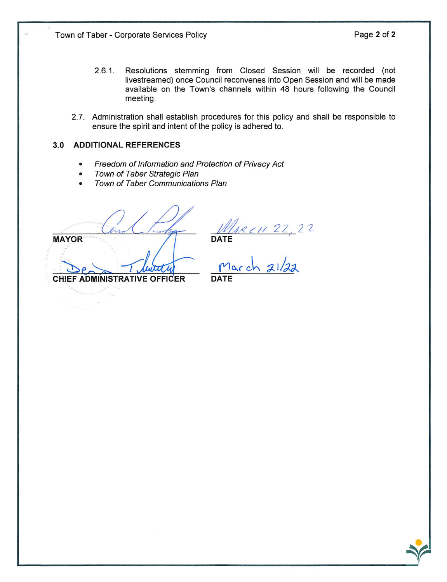- 2.6.1. Resolutions stemming from Closed Session will be recorded (not livestreamed) once Council reconvenes into Open Session and will be made available on the Town's channels within 48 hours following the Council meeting.
- 2.7. Administration shall establish procedures for this policy and shall be responsible to ensure the spirit and intent of the policy is adhered to.

## 3.0 ADDITIONAL REFERENCES

- Freedom of Information and Protection of Privacy Act
- Town of Taber Strategic Plan
- Town of Taber Communications Plan

MAYOR DATE **CHIEF ADMINISTRATIVE OFFICER** 

 $r^{\prime}$